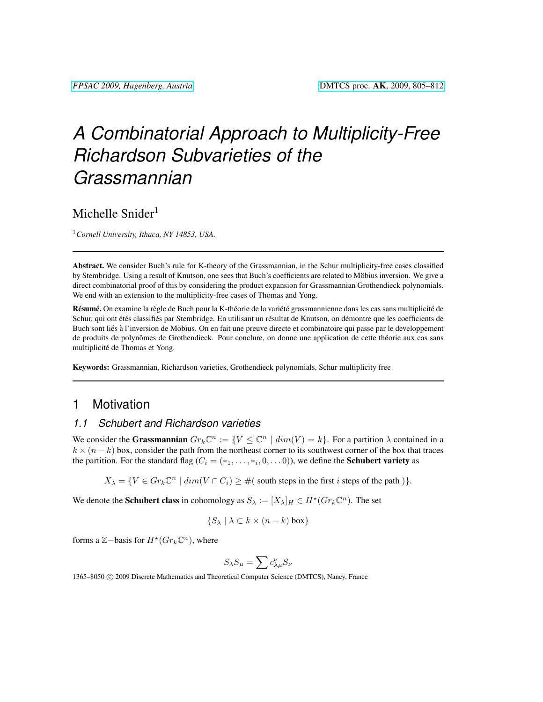# *A Combinatorial Approach to Multiplicity-Free Richardson Subvarieties of the Grassmannian*

# Michelle Snider $1$

<sup>1</sup>*Cornell University, Ithaca, NY 14853, USA.*

Abstract. We consider Buch's rule for K-theory of the Grassmannian, in the Schur multiplicity-free cases classified by Stembridge. Using a result of Knutson, one sees that Buch's coefficients are related to Möbius inversion. We give a direct combinatorial proof of this by considering the product expansion for Grassmannian Grothendieck polynomials. We end with an extension to the multiplicity-free cases of Thomas and Yong.

Résumé. On examine la règle de Buch pour la K-théorie de la variété grassmannienne dans les cas sans multiplicité de Schur, qui ont étés classifiés par Stembridge. En utilisant un résultat de Knutson, on démontre que les coefficients de Buch sont liés à l'inversion de Möbius. On en fait une preuve directe et combinatoire qui passe par le developpement de produits de polynômes de Grothendieck. Pour conclure, on donne une application de cette théorie aux cas sans multiplicité de Thomas et Yong.

Keywords: Grassmannian, Richardson varieties, Grothendieck polynomials, Schur multiplicity free

## 1 Motivation

#### <span id="page-0-0"></span>*1.1 Schubert and Richardson varieties*

We consider the Grassmannian  $Gr_k \mathbb{C}^n := \{ V \leq \mathbb{C}^n \mid dim(V) = k \}.$  For a partition  $\lambda$  contained in a  $k \times (n - k)$  box, consider the path from the northeast corner to its southwest corner of the box that traces the partition. For the standard flag ( $C_i = (*_1, \ldots, *, 0, \ldots 0)$ ), we define the **Schubert variety** as

 $X_{\lambda} = \{ V \in Gr_k \mathbb{C}^n \mid dim(V \cap C_i) \geq \#(\text{ south steps in the first } i \text{ steps of the path }) \}.$ 

We denote the **Schubert class** in cohomology as  $S_\lambda := [X_\lambda]_H \in H^*(Gr_k \mathbb{C}^n)$ . The set

$$
\{S_{\lambda} \mid \lambda \subset k \times (n-k) \text{ box}\}\
$$

forms a  $\mathbb{Z}-$ basis for  $H^*(Gr_k\mathbb{C}^n)$ , where

$$
S_\lambda S_\mu = \sum c_{\lambda\mu}^\nu S_\nu
$$

1365–8050 C 2009 Discrete Mathematics and Theoretical Computer Science (DMTCS), Nancy, France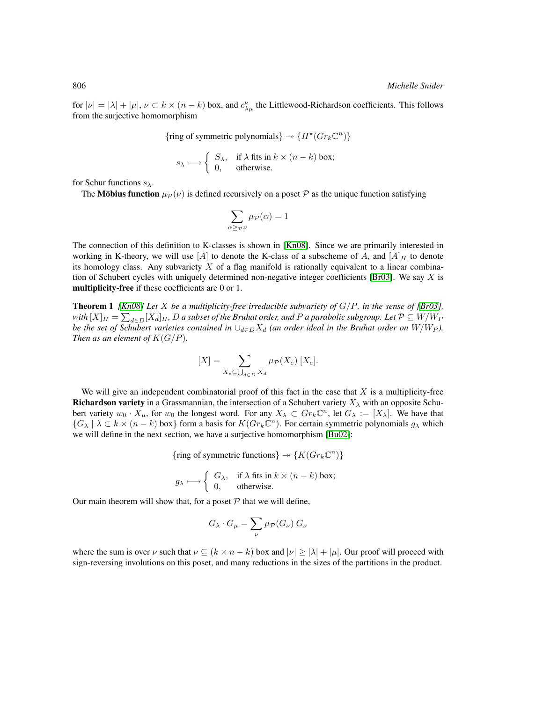for  $|\nu| = |\lambda| + |\mu|$ ,  $\nu \subset k \times (n - k)$  box, and  $c_{\lambda\mu}^{\nu}$  the Littlewood-Richardson coefficients. This follows from the surjective homomorphism

{ring of symmetric polynomials}  $\rightarrow$  { $H^*(Gr_k\mathbb{C}^n)$ }

$$
s_{\lambda} \longmapsto \begin{cases} S_{\lambda}, & \text{if } \lambda \text{ fits in } k \times (n-k) \text{ box}; \\ 0, & \text{otherwise.} \end{cases}
$$

for Schur functions  $s_{\lambda}$ .

The **Möbius function**  $\mu_{\mathcal{P}}(\nu)$  is defined recursively on a poset P as the unique function satisfying

$$
\sum_{\alpha \geq_{\mathcal{P}} \nu} \mu_{\mathcal{P}}(\alpha) = 1
$$

The connection of this definition to K-classes is shown in [\[Kn08\]](#page-7-0). Since we are primarily interested in working in K-theory, we will use  $[A]$  to denote the K-class of a subscheme of A, and  $[A]_H$  to denote its homology class. Any subvariety  $X$  of a flag manifold is rationally equivalent to a linear combina-tion of Schubert cycles with uniquely determined non-negative integer coefficients [\[Br03\]](#page-6-0). We say  $X$  is multiplicity-free if these coefficients are 0 or 1.

<span id="page-1-0"></span>**Theorem 1** *[\[Kn08\]](#page-7-0) Let X be a multiplicity-free irreducible subvariety of*  $G/P$ *, in the sense of [\[Br03\]](#page-6-0)*, with  $[X]_H = \sum_{d\in D} [X_d]_H$ ,  $D$  a subset of the Bruhat order, and  $P$  a parabolic subgroup. Let  $\mathcal{P}\subseteq W/W_P$ *be the set of Schubert varieties contained in*  $\cup_{d \in D} X_d$  *(an order ideal in the Bruhat order on*  $W/W_P$ *). Then as an element of*  $K(G/P)$ *,* 

$$
[X] = \sum_{X_e \subseteq \bigcup_{d \in D} X_d} \mu_{\mathcal{P}}(X_e) [X_e].
$$

We will give an independent combinatorial proof of this fact in the case that  $X$  is a multiplicity-free **Richardson variety** in a Grassmannian, the intersection of a Schubert variety  $X_{\lambda}$  with an opposite Schubert variety  $w_0 \cdot X_\mu$ , for  $w_0$  the longest word. For any  $X_\lambda \subset Gr_k\mathbb{C}^n$ , let  $G_\lambda := [X_\lambda]$ . We have that  $\{G_\lambda \mid \lambda \subset k \times (n-k)$  box} form a basis for  $K(Gr_k \mathbb{C}^n)$ . For certain symmetric polynomials  $g_\lambda$  which we will define in the next section, we have a surjective homomorphism [\[Bu02\]](#page-6-1):

{ring of symmetric functions}  $\rightarrow$  { $K(Gr_k\mathbb{C}^n)$ }

$$
g_{\lambda} \longmapsto \begin{cases} G_{\lambda}, & \text{if } \lambda \text{ fits in } k \times (n-k) \text{ box}; \\ 0, & \text{otherwise}. \end{cases}
$$

Our main theorem will show that, for a poset  $P$  that we will define,

$$
G_{\lambda} \cdot G_{\mu} = \sum_{\nu} \mu_{\mathcal{P}}(G_{\nu}) \; G_{\nu}
$$

where the sum is over  $\nu$  such that  $\nu \subseteq (k \times n - k)$  box and  $|\nu| \ge |\lambda| + |\mu|$ . Our proof will proceed with sign-reversing involutions on this poset, and many reductions in the sizes of the partitions in the product.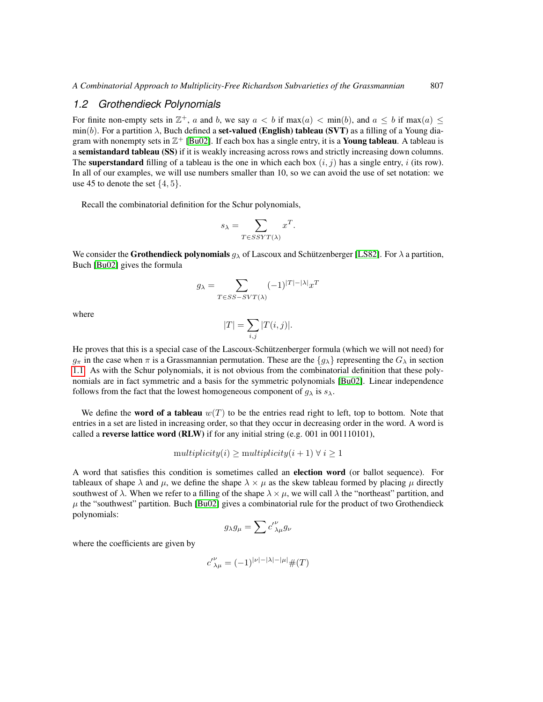#### *1.2 Grothendieck Polynomials*

For finite non-empty sets in  $\mathbb{Z}^+$ , a and b, we say  $a < b$  if max $(a) < \min(b)$ , and  $a \leq b$  if max $(a) \leq$  $\min(b)$ . For a partition  $\lambda$ , Buch defined a set-valued (English) tableau (SVT) as a filling of a Young diagram with nonempty sets in  $\mathbb{Z}^+$  [\[Bu02\]](#page-6-1). If each box has a single entry, it is a **Young tableau**. A tableau is a semistandard tableau (SS) if it is weakly increasing across rows and strictly increasing down columns. The **superstandard** filling of a tableau is the one in which each box  $(i, j)$  has a single entry, i (its row). In all of our examples, we will use numbers smaller than 10, so we can avoid the use of set notation: we use 45 to denote the set  $\{4, 5\}$ .

Recall the combinatorial definition for the Schur polynomials,

$$
s_{\lambda} = \sum_{T \in SSYT(\lambda)} x^T
$$

.

We consider the **Grothendieck polynomials**  $g_{\lambda}$  of Lascoux and Schützenberger [\[LS82\]](#page-7-1). For  $\lambda$  a partition, Buch [\[Bu02\]](#page-6-1) gives the formula

$$
g_{\lambda} = \sum_{T \in SS-SVT(\lambda)} (-1)^{|T| - |\lambda|} x^T
$$

where

$$
|T| = \sum_{i,j} |T(i,j)|.
$$

He proves that this is a special case of the Lascoux-Schützenberger formula (which we will not need) for  $g_{\pi}$  in the case when  $\pi$  is a Grassmannian permutation. These are the  $\{g_{\lambda}\}\$  representing the  $G_{\lambda}$  in section [1.1.](#page-0-0) As with the Schur polynomials, it is not obvious from the combinatorial definition that these polynomials are in fact symmetric and a basis for the symmetric polynomials [\[Bu02\]](#page-6-1). Linear independence follows from the fact that the lowest homogeneous component of  $g_{\lambda}$  is  $s_{\lambda}$ .

We define the **word of a tableau**  $w(T)$  to be the entries read right to left, top to bottom. Note that entries in a set are listed in increasing order, so that they occur in decreasing order in the word. A word is called a reverse lattice word (RLW) if for any initial string (e.g. 001 in 001110101),

$$
multiplicity(i) \geq multiplicity(i+1) \ \forall \ i \geq 1
$$

A word that satisfies this condition is sometimes called an election word (or ballot sequence). For tableaux of shape  $\lambda$  and  $\mu$ , we define the shape  $\lambda \times \mu$  as the skew tableau formed by placing  $\mu$  directly southwest of  $\lambda$ . When we refer to a filling of the shape  $\lambda \times \mu$ , we will call  $\lambda$  the "northeast" partition, and  $\mu$  the "southwest" partition. Buch [\[Bu02\]](#page-6-1) gives a combinatorial rule for the product of two Grothendieck polynomials:

$$
g_{\lambda}g_{\mu} = \sum c'_{\ \lambda\mu}^{\nu}g_{\nu}
$$

where the coefficients are given by

$$
{c'}_{\lambda\mu}^{\nu}=(-1)^{|\nu|-|\lambda|-|\mu|}\#(T)
$$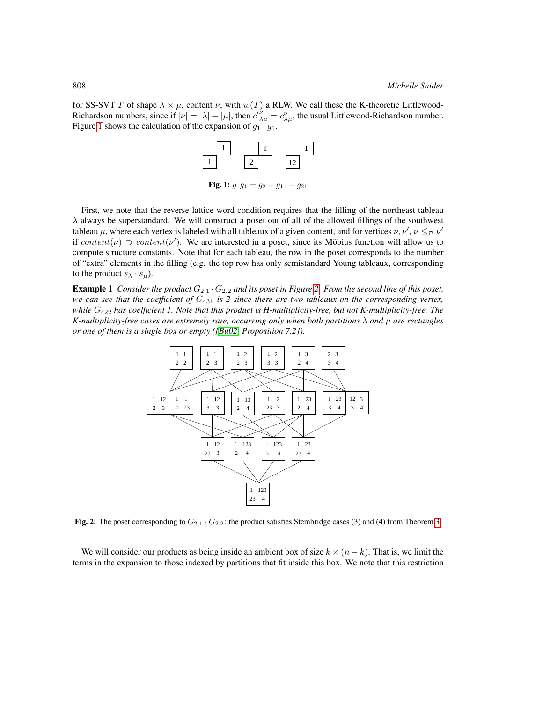for SS-SVT T of shape  $\lambda \times \mu$ , content  $\nu$ , with  $w(T)$  a RLW. We call these the K-theoretic Littlewood-Richardson numbers, since if  $|\nu| = |\lambda| + |\mu|$ , then  $c'^{\nu}_{\lambda\mu} = c^{\nu}_{\lambda\mu}$ , the usual Littlewood-Richardson number. Figure [1](#page-3-0) shows the calculation of the expansion of  $g_1 \cdot g_1$ .



<span id="page-3-0"></span>Fig. 1:  $g_1g_1 = g_2 + g_{11} - g_{21}$ 

First, we note that the reverse lattice word condition requires that the filling of the northeast tableau  $\lambda$  always be superstandard. We will construct a poset out of all of the allowed fillings of the southwest tableau  $\mu$ , where each vertex is labeled with all tableaux of a given content, and for vertices  $\nu, \nu', \nu \leq_P \nu'$ if content(v)  $\supset$  content(v'). We are interested in a poset, since its Möbius function will allow us to compute structure constants. Note that for each tableau, the row in the poset corresponds to the number of "extra" elements in the filling (e.g. the top row has only semistandard Young tableaux, corresponding to the product  $s_{\lambda} \cdot s_{\mu}$ ).

**Example 1** *Consider the product*  $G_{2,1} \cdot G_{2,2}$  *and its poset in Figure* [2.](#page-3-1) *From the second line of this poset, we can see that the coefficient of* G<sup>431</sup> *is 2 since there are two tableaux on the corresponding vertex, while* G<sup>422</sup> *has coefficient 1. Note that this product is H-multiplicity-free, but not K-multiplicity-free. The K-multiplicity-free cases are extremely rare, occurring only when both partitions*  $\lambda$  *and*  $\mu$  *are rectangles or one of them is a single box or empty ([\[Bu02,](#page-6-1) Proposition 7.2]).*



<span id="page-3-1"></span>Fig. 2: The poset corresponding to  $G_{2,1} \cdot G_{2,2}$ : the product satisfies Stembridge cases (3) and (4) from Theorem [3.](#page-4-0)

We will consider our products as being inside an ambient box of size  $k \times (n - k)$ . That is, we limit the terms in the expansion to those indexed by partitions that fit inside this box. We note that this restriction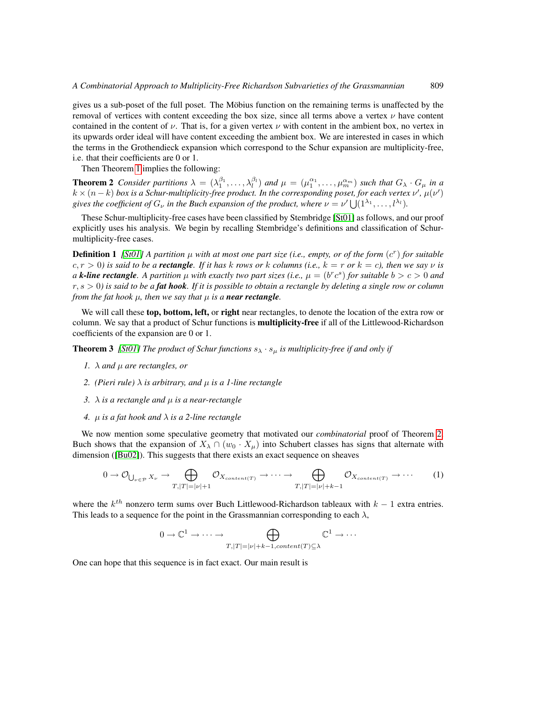gives us a sub-poset of the full poset. The Möbius function on the remaining terms is unaffected by the removal of vertices with content exceeding the box size, since all terms above a vertex  $\nu$  have content contained in the content of  $\nu$ . That is, for a given vertex  $\nu$  with content in the ambient box, no vertex in its upwards order ideal will have content exceeding the ambient box. We are interested in cases in which the terms in the Grothendieck expansion which correspond to the Schur expansion are multiplicity-free, i.e. that their coefficients are 0 or 1.

<span id="page-4-1"></span>Then Theorem [1](#page-1-0) implies the following:

**Theorem 2** Consider partitions  $\lambda = (\lambda_1^{\beta_1}, \dots, \lambda_l^{\beta_l})$  and  $\mu = (\mu_1^{\alpha_1}, \dots, \mu_m^{\alpha_m})$  such that  $G_\lambda \cdot G_\mu$  in a  $k \times (n-k)$  box is a Schur-multiplicity-free product. In the corresponding poset, for each vertex  $\nu'$ ,  $\mu(\nu')$ gives the coefficient of  $G_{\nu}$  in the Buch expansion of the product, where  $\nu = \nu' \bigcup (1^{\lambda_1}, \ldots, l^{\lambda_l})$ .

These Schur-multiplicity-free cases have been classified by Stembridge [\[St01\]](#page-7-2) as follows, and our proof explicitly uses his analysis. We begin by recalling Stembridge's definitions and classification of Schurmultiplicity-free cases.

**Definition 1** [\[St01\]](#page-7-2) A partition  $\mu$  with at most one part size (i.e., empty, or of the form  $(c^r)$  for suitable  $c, r > 0$  is said to be a **rectangle**. If it has k rows or k columns (i.e.,  $k = r$  or  $k = c$ ), then we say v is *a k***-line rectangle**. A partition  $\mu$  with exactly two part sizes (i.e.,  $\mu = (b^r c^s)$  for suitable  $b > c > 0$  and r, s > 0*) is said to be a fat hook. If it is possible to obtain a rectangle by deleting a single row or column from the fat hook*  $\mu$ *, then we say that*  $\mu$  *is a near rectangle.* 

We will call these top, bottom, left, or right near rectangles, to denote the location of the extra row or column. We say that a product of Schur functions is **multiplicity-free** if all of the Littlewood-Richardson coefficients of the expansion are 0 or 1.

<span id="page-4-0"></span>**Theorem 3** *[\[St01\]](#page-7-2) The product of Schur functions*  $s_{\lambda} \cdot s_{\mu}$  *is multiplicity-free if and only if* 

- *1.*  $\lambda$  *and*  $\mu$  *are rectangles, or*
- *2. (Pieri rule)*  $\lambda$  *is arbitrary, and*  $\mu$  *is a 1-line rectangle*
- *3.*  $\lambda$  *is a rectangle and*  $\mu$  *is a near-rectangle*
- *4.* µ *is a fat hook and* λ *is a 2-line rectangle*

We now mention some speculative geometry that motivated our *combinatorial* proof of Theorem [2.](#page-4-1) Buch shows that the expansion of  $X_\lambda \cap (w_0 \cdot X_\mu)$  into Schubert classes has signs that alternate with dimension ([\[Bu02\]](#page-6-1)). This suggests that there exists an exact sequence on sheaves

$$
0 \to \mathcal{O}_{\bigcup_{\nu \in \mathcal{P}} X_{\nu}} \to \bigoplus_{T, |T| = |\nu| + 1} \mathcal{O}_{X_{content(T)}} \to \cdots \to \bigoplus_{T, |T| = |\nu| + k - 1} \mathcal{O}_{X_{content(T)}} \to \cdots
$$
 (1)

where the  $k^{th}$  nonzero term sums over Buch Littlewood-Richardson tableaux with  $k - 1$  extra entries. This leads to a sequence for the point in the Grassmannian corresponding to each  $\lambda$ ,

<span id="page-4-3"></span><span id="page-4-2"></span>
$$
0 \to \mathbb{C}^1 \to \cdots \to \bigoplus_{T, |T| = |\nu| + k - 1, \text{content}(T) \subseteq \lambda} \mathbb{C}^1 \to \cdots
$$

One can hope that this sequence is in fact exact. Our main result is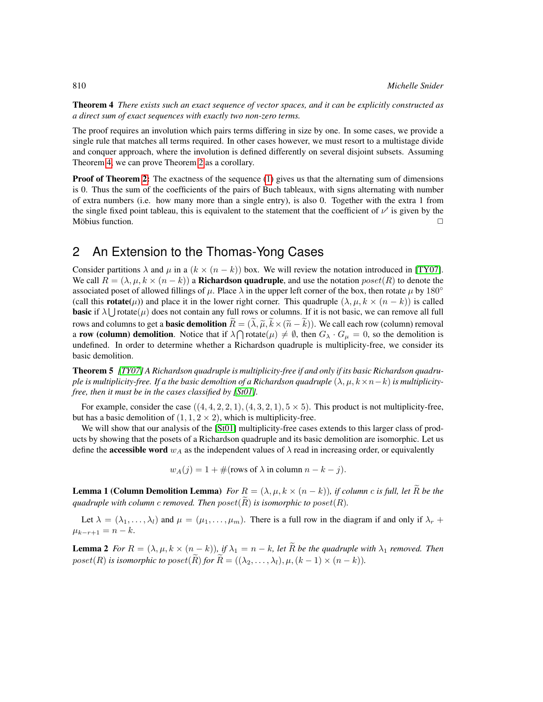Theorem 4 *There exists such an exact sequence of vector spaces, and it can be explicitly constructed as a direct sum of exact sequences with exactly two non-zero terms.*

The proof requires an involution which pairs terms differing in size by one. In some cases, we provide a single rule that matches all terms required. In other cases however, we must resort to a multistage divide and conquer approach, where the involution is defined differently on several disjoint subsets. Assuming Theorem [4,](#page-4-2) we can prove Theorem [2](#page-4-1) as a corollary.

**Proof of Theorem [2:](#page-4-1)** The exactness of the sequence  $(1)$  gives us that the alternating sum of dimensions is 0. Thus the sum of the coefficients of the pairs of Buch tableaux, with signs alternating with number of extra numbers (i.e. how many more than a single entry), is also 0. Together with the extra 1 from the single fixed point tableau, this is equivalent to the statement that the coefficient of  $\nu'$  is given by the Möbius function.  $\Box$ 

# 2 An Extension to the Thomas-Yong Cases

Consider partitions  $\lambda$  and  $\mu$  in a  $(k \times (n - k))$  box. We will review the notation introduced in [\[TY07\]](#page-7-3). We call  $R = (\lambda, \mu, k \times (n - k))$  a **Richardson quadruple**, and use the notation poset(R) to denote the associated poset of allowed fillings of  $\mu$ . Place  $\lambda$  in the upper left corner of the box, then rotate  $\mu$  by 180° (call this **rotate** $(\mu)$ ) and place it in the lower right corner. This quadruple  $(\lambda, \mu, k \times (n - k))$  is called **basic** if  $\lambda \cup$  rotate( $\mu$ ) does not contain any full rows or columns. If it is not basic, we can remove all full rows and columns to get a **basic demolition**  $\tilde{R} = (\tilde{\lambda}, \tilde{\mu}, \tilde{k} \times (\tilde{n} - \tilde{k}))$ . We call each row (column) removal a row (column) demolition. Notice that if  $\lambda \bigcap \text{rotate}(\mu) \neq \emptyset$ , then  $G_\lambda \cdot G_\mu = 0$ , so the demolition is undefined. In order to determine whether a Richardson quadruple is multiplicity-free, we consider its basic demolition.

Theorem 5 *[\[TY07\]](#page-7-3) A Richardson quadruple is multiplicity-free if and only if its basic Richardson quadruple is multiplicity-free. If a the basic demoltion of a Richardson quadruple*  $(\lambda, \mu, k \times n - k)$  *is multiplicityfree, then it must be in the cases classified by [\[St01\]](#page-7-2).*

For example, consider the case  $((4, 4, 2, 2, 1), (4, 3, 2, 1), 5 \times 5)$ . This product is not multiplicity-free, but has a basic demolition of  $(1, 1, 2 \times 2)$ , which is multiplicity-free.

We will show that our analysis of the [\[St01\]](#page-7-2) multiplicity-free cases extends to this larger class of products by showing that the posets of a Richardson quadruple and its basic demolition are isomorphic. Let us define the **accessible word**  $w_A$  as the independent values of  $\lambda$  read in increasing order, or equivalently

$$
w_A(j) = 1 + \#(\text{rows of } \lambda \text{ in column } n - k - j).
$$

**Lemma 1 (Column Demolition Lemma)** *For*  $R = (\lambda, \mu, k \times (n - k))$ *, if column c is full, let*  $\overline{R}$  *be the quadruple with column c removed. Then*  $poset(R)$  *is isomorphic to*  $poset(R)$ *.* 

Let  $\lambda = (\lambda_1, \ldots, \lambda_l)$  and  $\mu = (\mu_1, \ldots, \mu_m)$ . There is a full row in the diagram if and only if  $\lambda_r$  +  $\mu_{k-r+1} = n - k.$ 

**Lemma 2** *For*  $R = (\lambda, \mu, k \times (n - k))$ *, if*  $\lambda_1 = n - k$ *, let*  $\tilde{R}$  *be the quadruple with*  $\lambda_1$  *removed. Then* poset(R) is isomorphic to poset(R) for  $\widetilde{R} = ((\lambda_2, \ldots, \lambda_l), \mu, (k-1) \times (n-k)).$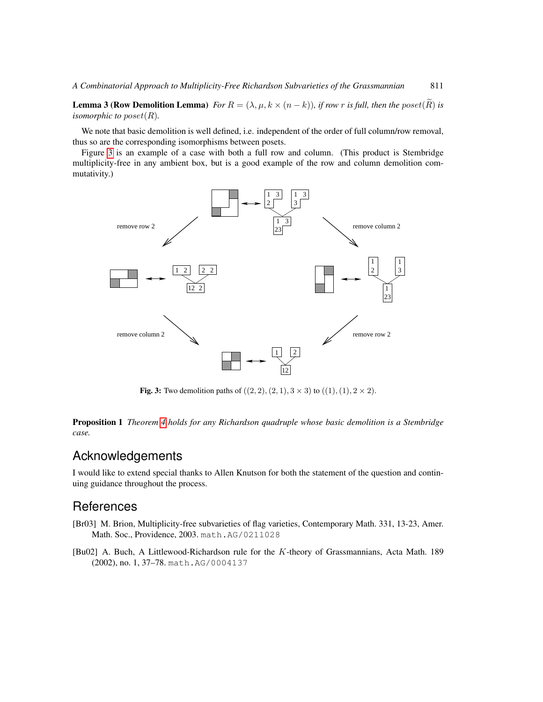**Lemma 3 (Row Demolition Lemma)** *For*  $R = (\lambda, \mu, k \times (n - k))$ *, if row r is full, then the poset*  $(\tilde{R})$  *is isomorphic to poset* $(R)$ *.* 

We note that basic demolition is well defined, i.e. independent of the order of full column/row removal, thus so are the corresponding isomorphisms between posets.

Figure [3](#page-6-2) is an example of a case with both a full row and column. (This product is Stembridge multiplicity-free in any ambient box, but is a good example of the row and column demolition commutativity.)



<span id="page-6-2"></span>**Fig. 3:** Two demolition paths of  $((2, 2), (2, 1), 3 \times 3)$  to  $((1), (1), 2 \times 2)$ .

Proposition 1 *Theorem [4](#page-4-2) holds for any Richardson quadruple whose basic demolition is a Stembridge case.*

# Acknowledgements

I would like to extend special thanks to Allen Knutson for both the statement of the question and continuing guidance throughout the process.

### **References**

- <span id="page-6-0"></span>[Br03] M. Brion, Multiplicity-free subvarieties of flag varieties, Contemporary Math. 331, 13-23, Amer. Math. Soc., Providence, 2003. math.AG/0211028
- <span id="page-6-1"></span>[Bu02] A. Buch, A Littlewood-Richardson rule for the K-theory of Grassmannians, Acta Math. 189 (2002), no. 1, 37–78. math.AG/0004137